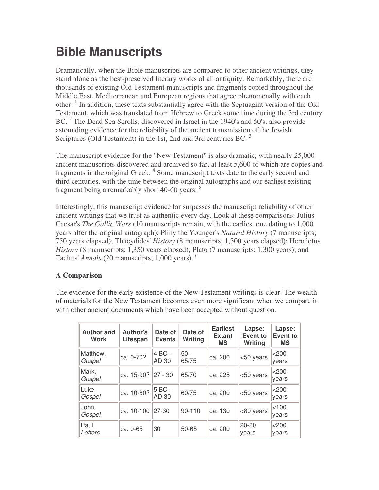## **Bible Manuscripts**

Dramatically, when the Bible manuscripts are compared to other ancient writings, they stand alone as the best-preserved literary works of all antiquity. Remarkably, there are thousands of existing Old Testament manuscripts and fragments copied throughout the Middle East, Mediterranean and European regions that agree phenomenally with each other. 1 In addition, these texts substantially agree with the Septuagint version of the Old Testament, which was translated from Hebrew to Greek some time during the 3rd century BC.<sup>2</sup> The Dead Sea Scrolls, discovered in Israel in the 1940's and 50's, also provide astounding evidence for the reliability of the ancient transmission of the Jewish Scriptures (Old Testament) in the 1st, 2nd and 3rd centuries BC.<sup>3</sup>

The manuscript evidence for the "New Testament" is also dramatic, with nearly 25,000 ancient manuscripts discovered and archived so far, at least 5,600 of which are copies and fragments in the original Greek.<sup>4</sup> Some manuscript texts date to the early second and third centuries, with the time between the original autographs and our earliest existing fragment being a remarkably short 40-60 years.<sup>5</sup>

Interestingly, this manuscript evidence far surpasses the manuscript reliability of other ancient writings that we trust as authentic every day. Look at these comparisons: Julius Caesar's *The Gallic Wars* (10 manuscripts remain, with the earliest one dating to 1,000 years after the original autograph); Pliny the Younger's *Natural History* (7 manuscripts; 750 years elapsed); Thucydides' *History* (8 manuscripts; 1,300 years elapsed); Herodotus' *History* (8 manuscripts; 1,350 years elapsed); Plato (7 manuscripts; 1,300 years); and Tacitus' *Annals* (20 manuscripts; 1,000 years). 6

## **A Comparison**

The evidence for the early existence of the New Testament writings is clear. The wealth of materials for the New Testament becomes even more significant when we compare it with other ancient documents which have been accepted without question.

| <b>Author and</b><br><b>Work</b> | Author's<br>Lifespan | Date of<br><b>Events</b> | Date of<br>Writing | <b>Earliest</b><br><b>Extant</b><br><b>MS</b> | Lapse:<br><b>Event to</b><br>Writing | Lapse:<br><b>Event to</b><br><b>MS</b> |
|----------------------------------|----------------------|--------------------------|--------------------|-----------------------------------------------|--------------------------------------|----------------------------------------|
| Matthew,<br>Gospel               | ca. 0-70?            | 4 BC -<br>AD 30          | $50 -$<br>65/75    | ca. 200                                       | <50 years                            | $<$ 200<br>vears                       |
| Mark,<br>Gospel                  | ca. 15-90?           | $ 27 - 30$               | 65/70              | ca. 225                                       | <50 years                            | < 200<br>vears                         |
| Luke,<br>Gospel                  | ca. 10-80?           | 5 BC -<br>AD 30          | 60/75              | ca. 200                                       | <50 years                            | $<$ 200<br>vears                       |
| John,<br>Gospel                  | ca. 10-100           | $ 27-30 $                | $90 - 110$         | ca. 130                                       | <80 years                            | <100<br>vears                          |
| Paul,<br>Letters                 | ca. 0-65             | 30                       | $50 - 65$          | ca. 200                                       | 20-30<br>vears                       | $<$ 200<br>vears                       |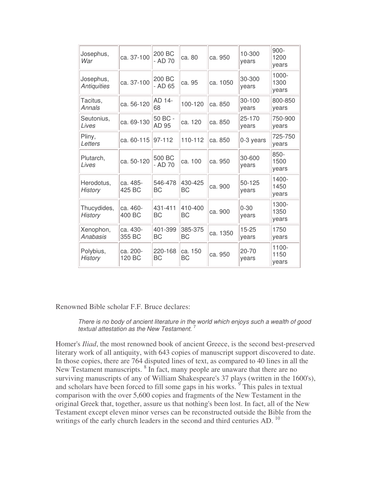| Josephus,<br>War                | ca. 37-100         | 200 BC<br>- AD 70    | ca. 80               | ca. 950  | 10-300<br>years    | $900 -$<br>1200<br>years  |
|---------------------------------|--------------------|----------------------|----------------------|----------|--------------------|---------------------------|
| Josephus,<br><b>Antiquities</b> | ca. 37-100         | 200 BC<br>- AD 65    | ca. 95               | ca. 1050 | 30-300<br>years    | $1000 -$<br>1300<br>years |
| Tacitus,<br>Annals              | ca. 56-120         | AD 14-<br>68         | 100-120              | ca. 850  | 30-100<br>years    | 800-850<br>years          |
| Seutonius,<br>Lives             | ca. 69-130         | 50 BC -<br>AD 95     | ca. 120              | ca. 850  | 25-170<br>years    | 750-900<br>years          |
| Pliny,<br>Letters               | ca. 60-115         | 97-112               | 110-112              | ca. 850  | 0-3 years          | 725-750<br>years          |
| Plutarch,<br>Lives              | ca. 50-120         | 500 BC<br>- AD 70    | ca. 100              | ca. 950  | 30-600<br>years    | $850 -$<br>1500<br>years  |
| Herodotus,<br><b>History</b>    | ca. 485-<br>425 BC | 546-478<br><b>BC</b> | 430-425<br>ВC        | ca. 900  | 50-125<br>years    | 1400-<br>1450<br>years    |
| Thucydides,<br><b>History</b>   | ca. 460-<br>400 BC | 431-411<br><b>BC</b> | 410-400<br><b>BC</b> | ca. 900  | $0 - 30$<br>years  | 1300-<br>1350<br>years    |
| Xenophon,<br>Anabasis           | ca. 430-<br>355 BC | 401-399<br>ВC        | 385-375<br>ВC        | ca. 1350 | $15 - 25$<br>years | 1750<br>years             |
| Polybius,<br><b>History</b>     | ca. 200-<br>120 BC | 220-168<br>BC        | ca. 150<br>ВC        | ca. 950  | $20 - 70$<br>years | 1100-<br>1150<br>vears    |

Renowned Bible scholar F.F. Bruce declares:

*There is no body of ancient literature in the world which enjoys such a wealth of good textual attestation as the New Testament.* 7

Homer's *Iliad*, the most renowned book of ancient Greece, is the second best-preserved literary work of all antiquity, with 643 copies of manuscript support discovered to date. In those copies, there are 764 disputed lines of text, as compared to 40 lines in all the New Testament manuscripts. <sup>8</sup> In fact, many people are unaware that there are no surviving manuscripts of any of William Shakespeare's 37 plays (written in the 1600's), and scholars have been forced to fill some gaps in his works. <sup>9</sup> This pales in textual comparison with the over 5,600 copies and fragments of the New Testament in the original Greek that, together, assure us that nothing's been lost. In fact, all of the New Testament except eleven minor verses can be reconstructed outside the Bible from the writings of the early church leaders in the second and third centuries AD.<sup>10</sup>